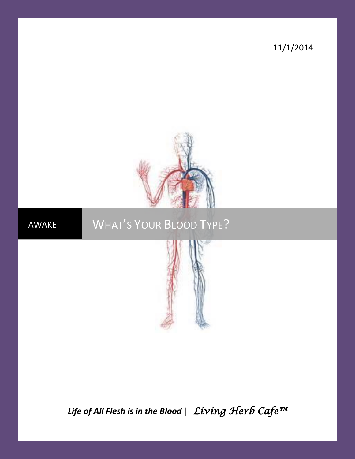11/1/2014



# AWAKE WHAT'S YOUR BLOOD TYPE?



*Life of All Flesh is in the Blood* | *Living Herb Cafe™*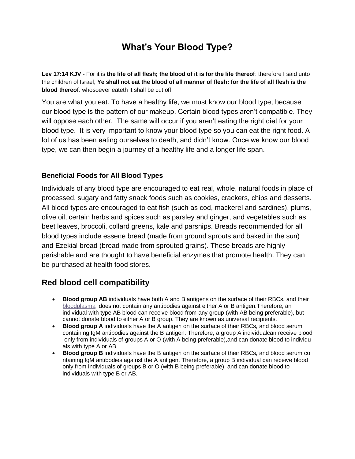# **What's Your Blood Type?**

**Lev 17:14 KJV** - For it is **the life of all flesh; the blood of it is for the life thereof**: therefore I said unto the children of Israel, **Ye shall not eat the blood of all manner of flesh: for the life of all flesh is the blood thereof**: whosoever eateth it shall be cut off.

You are what you eat. To have a healthy life, we must know our blood type, because our blood type is the pattern of our makeup. Certain blood types aren't compatible. They will oppose each other. The same will occur if you aren't eating the right diet for your blood type. It is very important to know your blood type so you can eat the right food. A lot of us has been eating ourselves to death, and didn't know. Once we know our blood type, we can then begin a journey of a healthy life and a longer life span.

#### **Beneficial Foods for All Blood Types**

Individuals of any blood type are encouraged to eat real, whole, natural foods in place of processed, sugary and fatty snack foods such as cookies, crackers, chips and desserts. All blood types are encouraged to eat fish (such as cod, mackerel and sardines), plums, olive oil, certain herbs and spices such as parsley and ginger, and vegetables such as beet leaves, broccoli, collard greens, kale and parsnips. Breads recommended for all blood types include essene bread (made from ground sprouts and baked in the sun) and Ezekial bread (bread made from sprouted grains). These breads are highly perishable and are thought to have beneficial enzymes that promote health. They can be purchased at health food stores.

#### **Red blood cell compatibility**

- **Blood group AB** individuals have both A and B antigens on the surface of their RBCs, and their [bloodplasma](http://encyclopedia.thefreedictionary.com/Blood+plasma) does not contain any antibodies against either A or B antigen.Therefore, an individual with type AB blood can receive blood from any group (with AB being preferable), but cannot donate blood to either A or B group. They are known as universal recipients.
- **Blood group A** individuals have the A antigen on the surface of their RBCs, and blood serum containing IgM antibodies against the B antigen. Therefore, a group A individualcan receive blood only from individuals of groups A or O (with A being preferable),and can donate blood to individu als with type A or AB.
- **Blood group B** individuals have the B antigen on the surface of their RBCs, and blood serum co ntaining IgM antibodies against the A antigen. Therefore, a group B individual can receive blood only from individuals of groups B or O (with B being preferable), and can donate blood to individuals with type B or AB.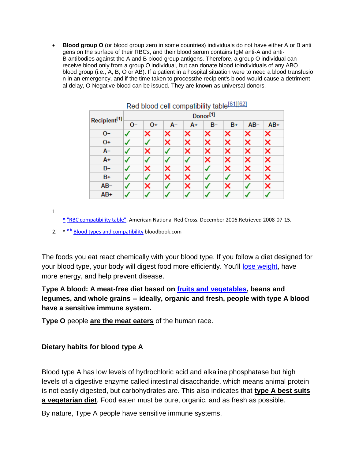**Blood group O** (or blood group zero in some countries) individuals do not have either A or B anti gens on the surface of their RBCs, and their blood serum contains IgM anti-A and anti-B antibodies against the A and B blood group antigens. Therefore, a group O individual can receive blood only from a group O individual, but can donate blood toindividuals of any ABO blood group (i.e., A, B, O or AB). If a patient in a hospital situation were to need a blood transfusio n in an emergency, and if the time taken to processthe recipient's blood would cause a detriment al delay, O Negative blood can be issued. They are known as universal donors.

| Red blood cell compatibility table[61][62] |                      |      |      |    |      |      |        |       |
|--------------------------------------------|----------------------|------|------|----|------|------|--------|-------|
| Recipient <sup>[1]</sup>                   | Donor <sup>[1]</sup> |      |      |    |      |      |        |       |
|                                            | $O-$                 | $0+$ | $A-$ | A+ | $B-$ | $B+$ | $AB -$ | $AB+$ |
| $O -$                                      |                      | ×    | ×    | ×  | ×    | ×    | ×      | ×     |
| $0+$                                       |                      |      | ×    | ×  | ×    | ×    | ×      | ×     |
| $A-$                                       |                      | ×    |      | ×  | ×    | ×    | ×      | ×     |
| A+                                         |                      |      |      |    | ×    | ×    | ×      | ×     |
| $B -$                                      |                      | ×    | ×    | ×  |      | ×    | ×      | ×     |
| $B+$                                       |                      |      | ×    | ×  |      |      | ×      | ×     |
| $AB -$                                     |                      | ×    |      | ×  |      | ×    |        | ×     |
| $AB+$                                      |                      |      |      |    |      |      |        |       |

[1.](http://encyclopedia.thefreedictionary.com/Blood+type#cite_ref-rbccomp_61-0)

**[^](http://encyclopedia.thefreedictionary.com/Blood+type#cite_ref-rbccomp_61-0)** ["RBC compatibility table".](http://chapters.redcross.org/br/northernohio/INFO/bloodtype.html) American National Red Cross. December 2006.Retrieved 2008-07-15.

2. ^ <sup>[a](http://encyclopedia.thefreedictionary.com/Blood+type#cite_ref-bloodbook_62-0) [b](http://encyclopedia.thefreedictionary.com/Blood+type#cite_ref-bloodbook_62-1)</sup> [Blood types and compatibility](http://www.bloodbook.com/compat.html) bloodbook.com

The foods you eat react chemically with your blood type. If you follow a diet designed for your blood type, your body will digest food more efficiently. You'll [lose weight,](http://www.webmd.com/diet/default.htm) have more energy, and help prevent disease.

### **Type A blood: A meat-free diet based on [fruits and vegetables,](http://www.webmd.com/food-recipes/tc/quick-tips-adding-fruits-and-vegetables-to-your-diet-get-started) beans and legumes, and whole grains -- ideally, organic and fresh, people with type A blood have a sensitive immune system.**

**Type O** people **are the meat eaters** of the human race.

#### **Dietary habits for blood type A**

Blood type A has low levels of hydrochloric acid and alkaline phosphatase but high levels of a digestive enzyme called intestinal disaccharide, which means animal protein is not easily digested, but carbohydrates are. This also indicates that **type A best suits a vegetarian diet**. Food eaten must be pure, organic, and as fresh as possible.

By nature, Type A people have sensitive immune systems.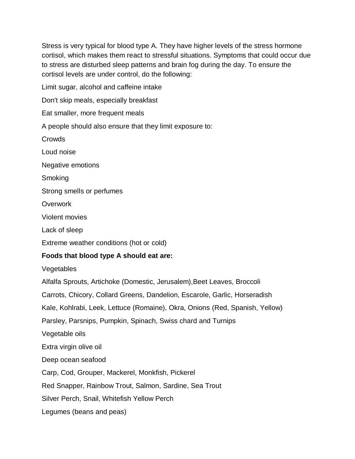Stress is very typical for blood type A. They have higher levels of the stress hormone cortisol, which makes them react to stressful situations. Symptoms that could occur due to stress are disturbed sleep patterns and brain fog during the day. To ensure the cortisol levels are under control, do the following:

Limit sugar, alcohol and caffeine intake

Don't skip meals, especially breakfast

Eat smaller, more frequent meals

A people should also ensure that they limit exposure to:

Crowds

Loud noise

Negative emotions

**Smoking** 

Strong smells or perfumes

**Overwork** 

Violent movies

Lack of sleep

Extreme weather conditions (hot or cold)

#### **Foods that blood type A should eat are:**

Vegetables

Alfalfa Sprouts, Artichoke (Domestic, Jerusalem),Beet Leaves, Broccoli Carrots, Chicory, Collard Greens, Dandelion, Escarole, Garlic, Horseradish Kale, Kohlrabi, Leek, Lettuce (Romaine), Okra, Onions (Red, Spanish, Yellow) Parsley, Parsnips, Pumpkin, Spinach, Swiss chard and Turnips Vegetable oils Extra virgin olive oil Deep ocean seafood Carp, Cod, Grouper, Mackerel, Monkfish, Pickerel Red Snapper, Rainbow Trout, Salmon, Sardine, Sea Trout Silver Perch, Snail, Whitefish Yellow Perch

Legumes (beans and peas)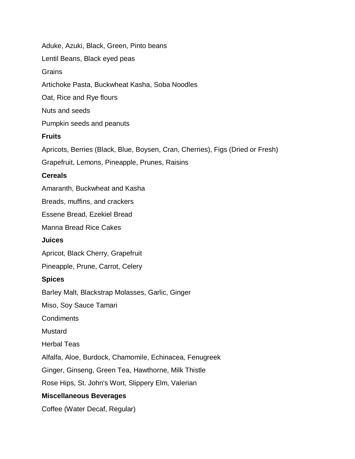Aduke, Azuki, Black, Green, Pinto beans Lentil Beans, Black eyed peas **Grains** Artichoke Pasta, Buckwheat Kasha, Soba Noodles Oat, Rice and Rye flours Nuts and seeds Pumpkin seeds and peanuts **Fruits** Apricots, Berries (Black, Blue, Boysen, Cran, Cherries), Figs (Dried or Fresh) Grapefruit, Lemons, Pineapple, Prunes, Raisins **Cereals** Amaranth, Buckwheat and Kasha Breads, muffins, and crackers Essene Bread, Ezekiel Bread Manna Bread Rice Cakes **Juices** Apricot, Black Cherry, Grapefruit Pineapple, Prune, Carrot, Celery **Spices** Barley Malt, Blackstrap Molasses, Garlic, Ginger Miso, Soy Sauce Tamari Condiments Mustard Herbal Teas Alfalfa, Aloe, Burdock, Chamomile, Echinacea, Fenugreek Ginger, Ginseng, Green Tea, Hawthorne, Milk Thistle Rose Hips, St. John's Wort, Slippery Elm, Valerian **Miscellaneous Beverages** Coffee (Water Decaf, Regular)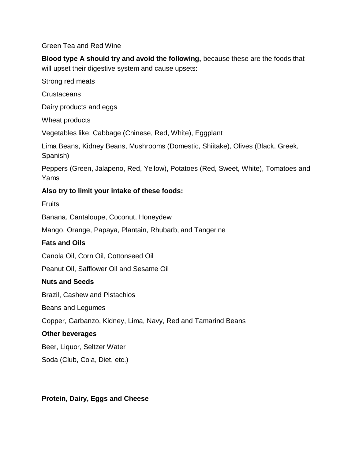#### Green Tea and Red Wine

**Blood type A should try and avoid the following,** because these are the foods that will upset their digestive system and cause upsets:

Strong red meats

**Crustaceans** 

Dairy products and eggs

Wheat products

Vegetables like: Cabbage (Chinese, Red, White), Eggplant

Lima Beans, Kidney Beans, Mushrooms (Domestic, Shiitake), Olives (Black, Greek, Spanish)

Peppers (Green, Jalapeno, Red, Yellow), Potatoes (Red, Sweet, White), Tomatoes and Yams

#### **Also try to limit your intake of these foods:**

**Fruits** 

Banana, Cantaloupe, Coconut, Honeydew

Mango, Orange, Papaya, Plantain, Rhubarb, and Tangerine

#### **Fats and Oils**

Canola Oil, Corn Oil, Cottonseed Oil

Peanut Oil, Safflower Oil and Sesame Oil

#### **Nuts and Seeds**

Brazil, Cashew and Pistachios

Beans and Legumes

Copper, Garbanzo, Kidney, Lima, Navy, Red and Tamarind Beans

#### **Other beverages**

Beer, Liquor, Seltzer Water

Soda (Club, Cola, Diet, etc.)

#### **Protein, Dairy, Eggs and Cheese**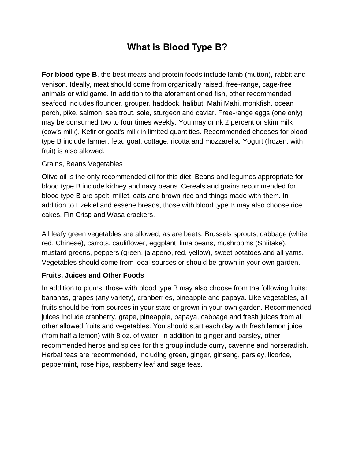# **What is Blood Type B?**

**For blood type B**, the best meats and protein foods include lamb (mutton), rabbit and venison. Ideally, meat should come from organically raised, free-range, cage-free animals or wild game. In addition to the aforementioned fish, other recommended seafood includes flounder, grouper, haddock, halibut, Mahi Mahi, monkfish, ocean perch, pike, salmon, sea trout, sole, sturgeon and caviar. Free-range eggs (one only) may be consumed two to four times weekly. You may drink 2 percent or skim milk (cow's milk), Kefir or goat's milk in limited quantities. Recommended cheeses for blood type B include farmer, feta, goat, cottage, ricotta and mozzarella. Yogurt (frozen, with fruit) is also allowed.

#### Grains, Beans Vegetables

Olive oil is the only recommended oil for this diet. Beans and legumes appropriate for blood type B include kidney and navy beans. Cereals and grains recommended for blood type B are spelt, millet, oats and brown rice and things made with them. In addition to Ezekiel and essene breads, those with blood type B may also choose rice cakes, Fin Crisp and Wasa crackers.

All leafy green vegetables are allowed, as are beets, Brussels sprouts, cabbage (white, red, Chinese), carrots, cauliflower, eggplant, lima beans, mushrooms (Shiitake), mustard greens, peppers (green, jalapeno, red, yellow), sweet potatoes and all yams. Vegetables should come from local sources or should be grown in your own garden.

#### **Fruits, Juices and Other Foods**

In addition to plums, those with blood type B may also choose from the following fruits: bananas, grapes (any variety), cranberries, pineapple and papaya. Like vegetables, all fruits should be from sources in your state or grown in your own garden. Recommended juices include cranberry, grape, pineapple, papaya, cabbage and fresh juices from all other allowed fruits and vegetables. You should start each day with fresh lemon juice (from half a lemon) with 8 oz. of water. In addition to ginger and parsley, other recommended herbs and spices for this group include curry, cayenne and horseradish. Herbal teas are recommended, including green, ginger, ginseng, parsley, licorice, peppermint, rose hips, raspberry leaf and sage teas.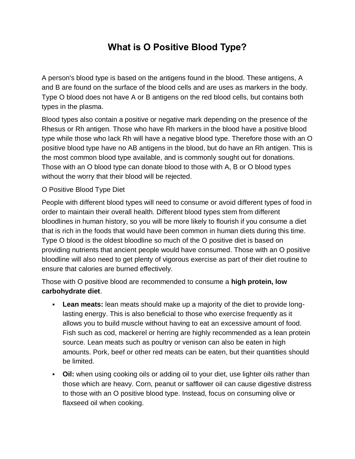# **What is O Positive Blood Type?**

A person's blood type is based on the antigens found in the blood. These antigens, A and B are found on the surface of the blood cells and are uses as markers in the body. Type O blood does not have A or B antigens on the red blood cells, but contains both types in the plasma.

Blood types also contain a positive or negative mark depending on the presence of the Rhesus or Rh antigen. Those who have Rh markers in the blood have a positive blood type while those who lack Rh will have a negative blood type. Therefore those with an O positive blood type have no AB antigens in the blood, but do have an Rh antigen. This is the most common blood type available, and is commonly sought out for donations. Those with an O blood type can donate blood to those with A, B or O blood types without the worry that their blood will be rejected.

#### O Positive Blood Type Diet

People with different blood types will need to consume or avoid different types of food in order to maintain their overall health. Different blood types stem from different bloodlines in human history, so you will be more likely to flourish if you consume a diet that is rich in the foods that would have been common in human diets during this time. Type O blood is the oldest bloodline so much of the O positive diet is based on providing nutrients that ancient people would have consumed. Those with an O positive bloodline will also need to get plenty of vigorous exercise as part of their diet routine to ensure that calories are burned effectively.

Those with O positive blood are recommended to consume a **high protein, low carbohydrate diet**.

- **Lean meats:** lean meats should make up a majority of the diet to provide longlasting energy. This is also beneficial to those who exercise frequently as it allows you to build muscle without having to eat an excessive amount of food. Fish such as cod, mackerel or herring are highly recommended as a lean protein source. Lean meats such as poultry or venison can also be eaten in high amounts. Pork, beef or other red meats can be eaten, but their quantities should be limited.
- **Oil:** when using cooking oils or adding oil to your diet, use lighter oils rather than those which are heavy. Corn, peanut or safflower oil can cause digestive distress to those with an O positive blood type. Instead, focus on consuming olive or flaxseed oil when cooking.